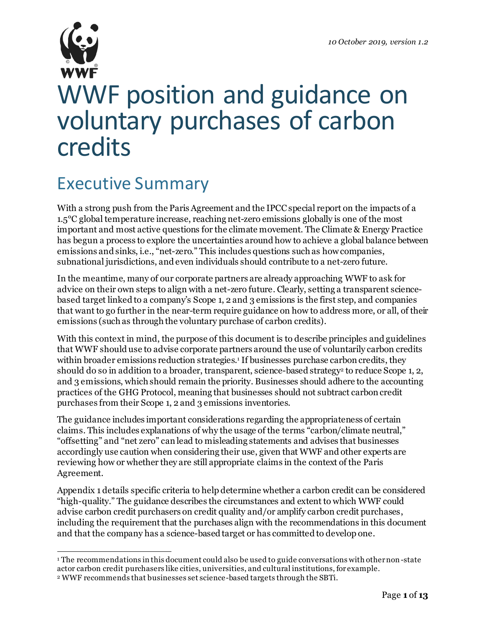

# WWF position and guidance on voluntary purchases of carbon credits

### Executive Summary

With a strong push from the Paris Agreement and the IPCC special report on the impacts of a 1.5°C global temperature increase, reaching net-zero emissions globally is one of the most important and most active questions for the climate movement. The Climate & Energy Practice has begun a process to explore the uncertainties around how to achieve a global balance between emissions and sinks, i.e., "net-zero." This includes questions such as how companies, subnational jurisdictions, and even individuals should contribute to a net-zero future.

In the meantime, many of our corporate partners are already approaching WWF to ask for advice on their own steps to align with a net-zero future. Clearly, setting a transparent sciencebased target linked to a company's Scope 1, 2 and 3 emissions is the first step, and companies that want to go further in the near-term require guidance on how to address more, or all, of their emissions (such as through the voluntary purchase of carbon credits).

With this context in mind, the purpose of this document is to describe principles and guidelines that WWF should use to advise corporate partners around the use of voluntarily carbon credits within broader emissions reduction strategies. <sup>1</sup> If businesses purchase carbon credits, they should do so in addition to a broader, transparent, science-based strategy<sup>2</sup> to reduce Scope 1, 2, and 3 emissions, which should remain the priority. Businesses should adhere to the accounting practices of the GHG Protocol, meaning that businesses should not subtract carbon credit purchases from their Scope 1, 2 and 3 emissions inventories.

The guidance includes important considerations regarding the appropriateness of certain claims. This includes explanations of why the usage of the terms "carbon/climate neutral," "offsetting" and "net zero" can lead to misleading statements and advises that businesses accordingly use caution when considering their use, given that WWF and other experts are reviewing how or whether they are still appropriate claims in the context of the Paris Agreement.

Appendix 1 details specific criteria to help determine whether a carbon credit can be considered "high-quality." The guidance describes the circumstances and extent to which WWF could advise carbon credit purchasers on credit quality and/or amplify carbon credit purchases, including the requirement that the purchases align with the recommendations in this document and that the company has a science-based target or has committed to develop one.

<sup>&</sup>lt;sup>1</sup> The recommendations in this document could also be used to guide conversations with other non-state actor carbon credit purchasers like cities, universities, and cultural institutions, for example.

<sup>2</sup> WWF recommends that businesses set science-based targets through the SBTi.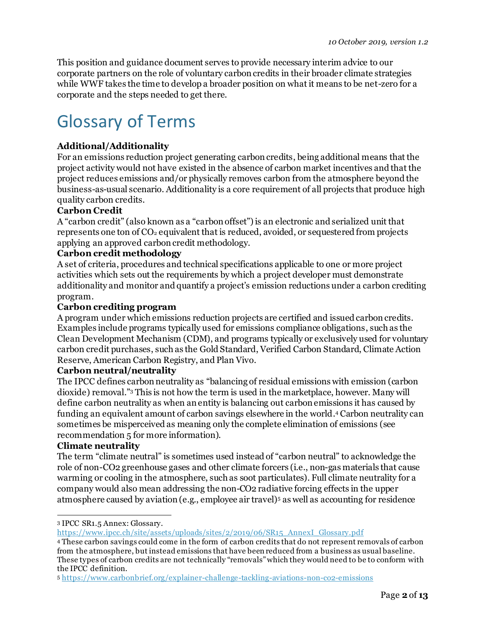This position and guidance document serves to provide necessary interim advice to our corporate partners on the role of voluntary carbon credits in their broader climate strategies while WWF takes the time to develop a broader position on what it means to be net-zero for a corporate and the steps needed to get there.

## Glossary of Terms

#### **Additional/Additionality**

For an emissions reduction project generating carbon credits, being additional means that the project activity would not have existed in the absence of carbon market incentives and that the project reduces emissions and/or physically removes carbon from the atmosphere beyond the business-as-usual scenario. Additionality is a core requirement of all projects that produce high quality carbon credits.

#### **Carbon Credit**

A "carbon credit" (also known as a "carbon offset") is an electronic and serialized unit that represents one ton of CO<sub>2</sub> equivalent that is reduced, avoided, or sequestered from projects applying an approved carbon credit methodology.

#### **Carbon credit methodology**

A set of criteria, procedures and technical specifications applicable to one or more project activities which sets out the requirements by which a project developer must demonstrate additionality and monitor and quantify a project's emission reductions under a carbon crediting program.

#### **Carbon crediting program**

A program under which emissions reduction projects are certified and issued carbon credits. Examples include programs typically used for emissions compliance obligations, such as the Clean Development Mechanism (CDM), and programs typically or exclusively used for voluntary carbon credit purchases, such as the Gold Standard, Verified Carbon Standard, Climate Action Reserve, American Carbon Registry, and Plan Vivo.

#### **Carbon neutral/neutrality**

The IPCC defines carbon neutrality as "balancing of residual emissions with emission (carbon dioxide) removal." <sup>3</sup> This is not how the term is used in the marketplace, however. Many will define carbon neutrality as when an entity is balancing out carbon emissions it has caused by funding an equivalent amount of carbon savings elsewhere in the world. <sup>4</sup> Carbon neutrality can sometimes be misperceived as meaning only the complete elimination of emissions (see recommendation 5 for more information).

#### **Climate neutrality**

The term "climate neutral" is sometimes used instead of "carbon neutral" to acknowledge the role of non-CO2 greenhouse gases and other climate forcers (i.e., non-gas materials that cause warming or cooling in the atmosphere, such as soot particulates). Full climate neutrality for a company would also mean addressing the non-CO2 radiative forcing effects in the upper atmosphere caused by aviation (e.g., employee air travel)<sup>5</sup> as well as accounting for residence

<sup>3</sup> IPCC SR1.5 Annex: Glossary.

[https://www.ipcc.ch/site/assets/uploads/sites/2/2019/06/SR15\\_AnnexI\\_Glossary.pdf](https://www.ipcc.ch/site/assets/uploads/sites/2/2019/06/SR15_AnnexI_Glossary.pdf)

<sup>4</sup> These carbon savings could come in the form of carbon credits that do not represent removals of carbon from the atmosphere, but instead emissions that have been reduced from a business as usual baseline. These types of carbon credits are not technically "removals" which they would need to be to conform with the IPCC definition.

<sup>5</sup> <https://www.carbonbrief.org/explainer-challenge-tackling-aviations-non-co2-emissions>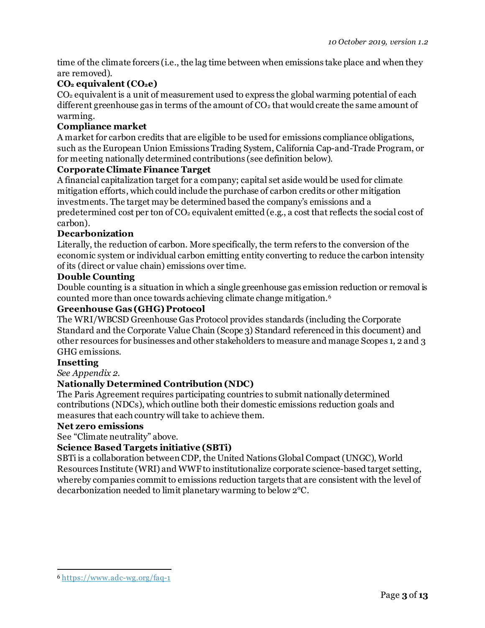time of the climate forcers (i.e., the lag time between when emissions take place and when they are removed).

#### **CO<sup>2</sup> equivalent (CO2e)**

CO<sup>2</sup> equivalent is a unit of measurement used to express the global warming potential of each different greenhouse gas in terms of the amount of  $CO<sub>2</sub>$  that would create the same amount of warming.

#### **Compliance market**

A market for carbon credits that are eligible to be used for emissions compliance obligations, such as the European Union Emissions Trading System, California Cap-and-Trade Program, or for meeting nationally determined contributions (see definition below).

#### **Corporate Climate Finance Target**

A financial capitalization target for a company; capital set aside would be used for climate mitigation efforts, which could include the purchase of carbon credits or other mitigation investments. The target may be determined based the company's emissions and a predetermined cost per ton of CO<sup>2</sup> equivalent emitted (e.g., a cost that reflects the social cost of carbon).

#### **Decarbonization**

Literally, the reduction of carbon. More specifically, the term refers to the conversion of the economic system or individual carbon emitting entity converting to reduce the carbon intensity of its (direct or value chain) emissions over time.

#### **Double Counting**

Double counting is a situation in which a single greenhouse gas emission reduction or removal is counted more than once towards achieving climate change mitigation.<sup>6</sup>

#### **Greenhouse Gas (GHG) Protocol**

The WRI/WBCSD Greenhouse Gas Protocol provides standards (including the Corporate Standard and the Corporate Value Chain (Scope 3) Standard referenced in this document) and other resources for businesses and other stakeholders to measure and manage Scopes 1, 2 and 3 GHG emissions.

#### **Insetting**

*See Appendix 2.*

#### **Nationally Determined Contribution (NDC)**

The Paris Agreement requires participating countries to submit nationally determined contributions (NDCs), which outline both their domestic emissions reduction goals and measures that each country will take to achieve them.

#### **Net zero emissions**

See "Climate neutrality" above.

#### **Science Based Targets initiative (SBTi)**

SBTi is a collaboration between CDP, the United Nations Global Compact (UNGC), World Resources Institute (WRI) and WWF to institutionalize corporate science-based target setting, whereby companies commit to emissions reduction targets that are consistent with the level of decarbonization needed to limit planetary warming to below 2°C.

<sup>6</sup> <https://www.adc-wg.org/faq-1>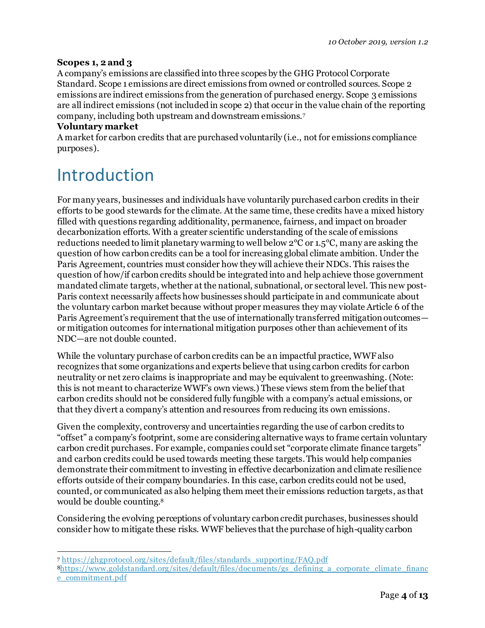#### **Scopes 1, 2 and 3**

A company's emissions are classified into three scopes by the GHG Protocol Corporate Standard. Scope 1 emissions are direct emissions from owned or controlled sources. Scope 2 emissions are indirect emissions from the generation of purchased energy. Scope 3 emissions are all indirect emissions (not included in scope 2) that occur in the value chain of the reporting company, including both upstream and downstream emissions.<sup>7</sup>

#### **Voluntary market**

A market for carbon credits that are purchased voluntarily (i.e., not for emissions compliance purposes).

### Introduction

For many years, businesses and individuals have voluntarily purchased carbon credits in their efforts to be good stewards for the climate. At the same time, these credits have a mixed history filled with questions regarding additionality, permanence, fairness, and impact on broader decarbonization efforts. With a greater scientific understanding of the scale of emissions reductions needed to limit planetary warming to well below 2°C or 1.5°C, many are asking the question of how carbon credits canbe a tool for increasing global climate ambition. Under the Paris Agreement, countries must consider how they will achieve their NDCs. This raises the question of how/if carbon credits should be integrated into and help achieve those government mandated climate targets, whether at the national, subnational, or sectoral level. This new post-Paris context necessarily affects how businesses should participate in and communicate about the voluntary carbon market because without proper measures they may violate Article 6 of the Paris Agreement's requirement that the use of internationally transferred mitigation outcomes or mitigation outcomes for international mitigation purposes other than achievement of its NDC—are not double counted.

While the voluntary purchase of carbon credits can be an impactful practice, WWFalso recognizes that some organizations and experts believe that using carbon credits for carbon neutrality or net zero claims is inappropriate and may be equivalent to greenwashing. (Note: this is not meant to characterize WWF's own views.) These views stem from the belief that carbon credits should not be considered fully fungible with a company's actual emissions, or that they divert a company's attention and resources from reducing its own emissions.

Given the complexity, controversy and uncertainties regarding the use of carbon credits to "offset" a company's footprint, some are considering alternative ways to frame certain voluntary carbon credit purchases. For example, companies could set "corporate climate finance targets" and carbon credits could be used towards meeting these targets. This would help companies demonstrate their commitment to investing in effective decarbonization and climate resilience efforts outside of their company boundaries. In this case, carbon credits could not be used, counted, or communicated as also helping them meet their emissions reduction targets, as that would be double counting. 8

Considering the evolving perceptions of voluntary carbon credit purchases, businesses should consider how to mitigate these risks. WWF believes that the purchase of high-quality carbon

<sup>7</sup> [https://ghgprotocol.org/sites/default/files/standards\\_supporting/FAQ.pdf](https://ghgprotocol.org/sites/default/files/standards_supporting/FAQ.pdf)

<sup>8</sup>[https://www.goldstandard.org/sites/default/files/documents/gs\\_defining\\_a\\_corporate\\_climate\\_financ](https://www.goldstandard.org/sites/default/files/documents/gs_defining_a_corporate_climate_finance_commitment.pdf) [e\\_commitment.pdf](https://www.goldstandard.org/sites/default/files/documents/gs_defining_a_corporate_climate_finance_commitment.pdf)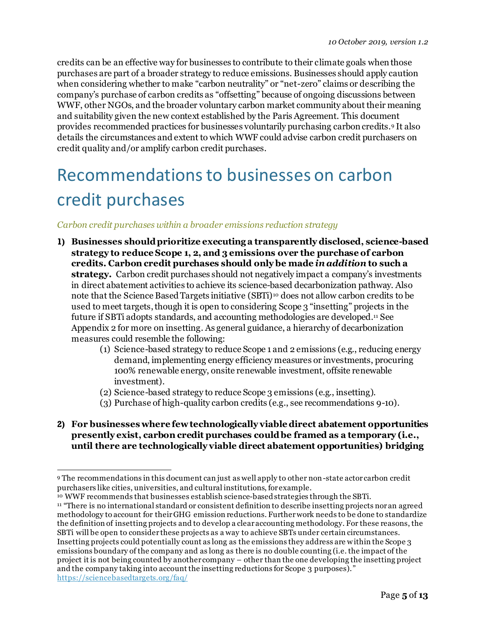credits can be an effective way for businesses to contribute to their climate goals when those purchases are part of a broader strategy to reduce emissions. Businesses should apply caution when considering whether to make "carbon neutrality" or "net-zero" claims or describing the company's purchase of carbon credits as "offsetting" because of ongoing discussions between WWF, other NGOs, and the broader voluntary carbon market community about their meaning and suitability given the new context established by the Paris Agreement. This document provides recommended practices for businesses voluntarily purchasing carbon credits.<sup>9</sup> It also details the circumstances and extent to which WWF could advise carbon credit purchasers on credit quality and/or amplify carbon credit purchases.

# Recommendations to businesses on carbon credit purchases

#### *Carbon credit purchases within a broader emissions reduction strategy*

- **1) Businesses should prioritize executing a transparently disclosed, science-based strategy to reduce Scope 1, 2, and 3 emissions over the purchase of carbon credits. Carbon credit purchases should only be made** *in addition* **to such a strategy.** Carbon credit purchases should not negatively impact a company's investments in direct abatement activities to achieve its science-based decarbonization pathway. Also note that the Science Based Targets initiative  $(SBTi)^{10}$  does not allow carbon credits to be used to meet targets, though it is open to considering Scope 3 "insetting" projects in the future if SBTi adopts standards, and accounting methodologies are developed. <sup>11</sup> See Appendix 2 for more on insetting. As general guidance, a hierarchy of decarbonization measures could resemble the following:
	- (1) Science-based strategy to reduce Scope 1 and 2 emissions (e.g., reducing energy demand, implementing energy efficiency measures or investments, procuring 100% renewable energy, onsite renewable investment, offsite renewable investment).
	- (2) Science-based strategy to reduce Scope 3 emissions (e.g., insetting).
	- (3) Purchase of high-quality carbon credits (e.g., see recommendations 9-10).
- **2) For businesses where fewtechnologically viable direct abatement opportunities presently exist, carbon credit purchases couldbe framed as a temporary (i.e., until there are technologically viable direct abatement opportunities) bridging**

<sup>10</sup> WWF recommends that businesses establish science-based strategies through the SBTi.

<sup>9</sup> The recommendations in this document can just as well apply to other non-state actor carbon credit purchasers like cities, universities, and cultural institutions, for example.

<sup>&</sup>lt;sup>11</sup> "There is no international standard or consistent definition to describe insetting projects nor an agreed methodology to account for their GHG emission reductions. Further work needs to be done to standardize the definition of insetting projects and to develop a clear accounting methodology. For these reasons, the SBTi will be open to consider these projects as a way to achieve SBTs under certain circumstances. Insetting projects could potentially count as long as the emissions they address are within the Scope 3 emissions boundary of the company and as long as there is no double counting (i.e. the impact of the project it is not being counted by another company – other than the one developing the insetting project and the company taking into account the insetting reductions for Scope 3 purposes)." <https://sciencebasedtargets.org/faq/>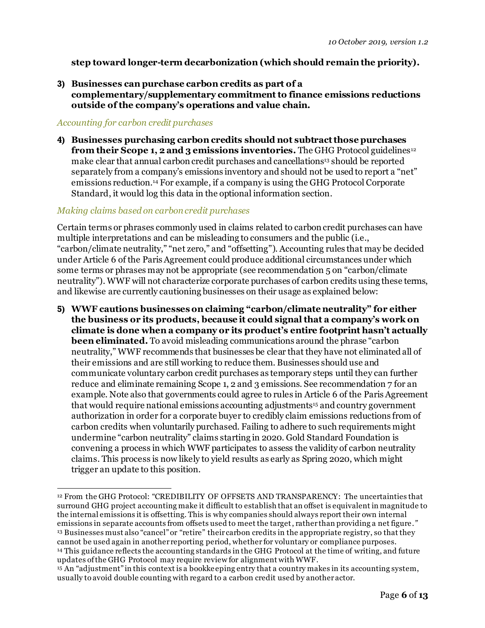#### **step toward longer-term decarbonization (which should remain the priority).**

**3) Businesses can purchase carbon credits as part of a complementary/supplementary commitment to finance emissions reductions outside of the company's operations and value chain.**

#### *Accounting for carbon credit purchases*

**4) Businesses purchasing carbon credits should not subtract those purchases from their Scope 1, 2 and 3 emissions inventories.** The GHG Protocol guidelines<sup>12</sup> make clear that annual carbon credit purchases and cancellations<sup>13</sup> should be reported separately from a company's emissions inventory and should not be used to report a "net" emissions reduction.<sup>14</sup> For example, if a company is using the GHG Protocol Corporate Standard, it would log this data in the optional information section.

#### *Making claims based on carbon credit purchases*

Certain terms or phrases commonly used in claims related to carbon credit purchases can have multiple interpretations and can be misleading to consumers and the public (i.e., "carbon/climate neutrality," "net zero," and "offsetting"). Accounting rules that may be decided under Article 6 of the Paris Agreement could produce additional circumstances under which some terms or phrases may not be appropriate (see recommendation 5 on "carbon/climate neutrality"). WWF will not characterize corporate purchases of carbon credits using these terms, and likewise are currently cautioning businesses on their usage as explained below:

**5) WWF cautions businesses on claiming "carbon/climate neutrality" for either the business or its products, because it could signalthat a company's work on climate is done when a company or its product's entire footprint hasn't actually been eliminated.** To avoid misleading communications around the phrase "carbon neutrality," WWF recommends that businesses be clear that they have not eliminated all of their emissions and are still working to reduce them. Businesses should use and communicate voluntary carbon credit purchases as temporary steps until they can further reduce and eliminate remaining Scope 1, 2 and 3 emissions. See recommendation 7 for an example. Note also that governments could agree to rules in Article 6 of the Paris Agreement that would require national emissions accounting adjustments<sup>15</sup> and country government authorization in order for a corporate buyer to credibly claim emissions reductions from of carbon credits when voluntarily purchased. Failing to adhere to such requirements might undermine "carbon neutrality" claims starting in 2020. Gold Standard Foundation is convening a process in which WWF participates to assess the validity of carbon neutrality claims. This process is now likely to yield results as early as Spring 2020, which might trigger an update to this position.

<sup>12</sup> From the GHG Protocol: "CREDIBILITY OF OFFSETS AND TRANSPARENCY: The uncertainties that surround GHG project accounting make it difficult to establish that an offset is equivalent in magnitude to the internal emissions it is offsetting. This is why companies should always report their own internal emissions in separate accounts from offsets used to meet the target, rather than providing a net figure.*"* <sup>13</sup> Businesses must also "cancel" or "retire" their carbon credits in the appropriate registry, so that they cannot be used again in another reporting period, whether for voluntary or compliance purposes. <sup>14</sup> This guidance reflects the accounting standards in the GHG Protocol at the time of writing, and future updates of the GHG Protocol may require review for alignment with WWF.

<sup>15</sup> An "adjustment" in this context is a bookkeeping entry that a country makes in its accounting system, usually to avoid double counting with regard to a carbon credit used by another actor.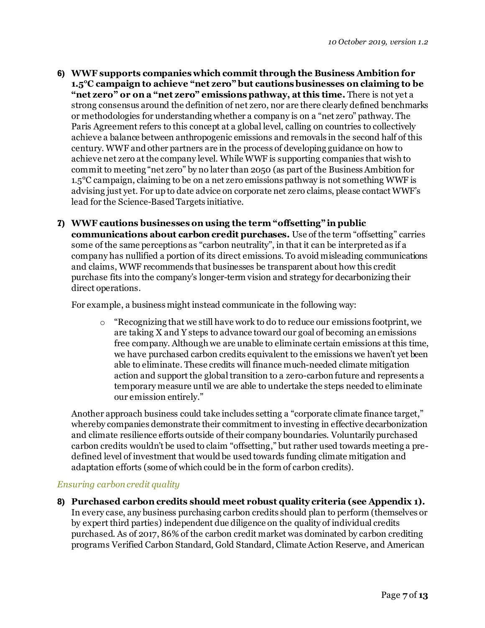- **6) WWF supports companies which commit through the Business Ambition for 1.5°C campaign to achieve "net zero" but cautions businesses on claiming to be "net zero" or on a "net zero" emissions pathway, at this time.** There is not yet a strong consensus around the definition of net zero, nor are there clearly defined benchmarks or methodologies for understanding whether a company is on a "net zero" pathway. The Paris Agreement refers to this concept at a global level, calling on countries to collectively achieve a balance between anthropogenic emissions and removals in the second half of this century. WWF and other partners are in the process of developing guidance on how to achieve net zero at the company level. While WWF is supporting companies that wish to commit to meeting "net zero" by no later than 2050 (as part of the Business Ambition for 1.5°C campaign, claiming to be on a net zero emissions pathway is not something WWF is advising just yet. For up to date advice on corporate net zero claims, please contact WWF's lead for the Science-Based Targets initiative.
- **7) WWF cautions businesses on using the term "offsetting" in public communications about carbon credit purchases.** Use of the term "offsetting" carries some of the same perceptions as "carbon neutrality", in that it can be interpreted as if a company has nullified a portion of its direct emissions. To avoid misleading communications and claims, WWF recommends that businesses be transparent about how this credit purchase fits into the company's longer-term vision and strategy for decarbonizing their direct operations.

For example, a business might instead communicate in the following way:

o "Recognizing that we still have work to do to reduce our emissions footprint, we are taking X and Y steps to advance toward our goal of becoming an emissions free company. Although we are unable to eliminate certain emissions at this time, we have purchased carbon credits equivalent to the emissions we haven't yet been able to eliminate. These credits will finance much-needed climate mitigation action and support the global transition to a zero-carbon future and represents a temporary measure until we are able to undertake the steps needed to eliminate our emission entirely."

Another approach business could take includes setting a "corporate climate finance target," whereby companies demonstrate their commitment to investing in effective decarbonization and climate resilience efforts outside of their company boundaries. Voluntarily purchased carbon credits wouldn't be used to claim "offsetting," but rather used towards meeting a predefined level of investment that would be used towards funding climate mitigation and adaptation efforts (some of which could be in the form of carbon credits).

#### *Ensuring carbon credit quality*

**8) Purchased carbon credits should meet robust quality criteria (see Appendix 1).**  In every case, any business purchasing carbon credits should plan to perform (themselves or by expert third parties) independent due diligence on the quality of individual credits purchased. As of 2017, 86% of the carbon credit market was dominated by carbon crediting programs Verified Carbon Standard, Gold Standard, Climate Action Reserve, and American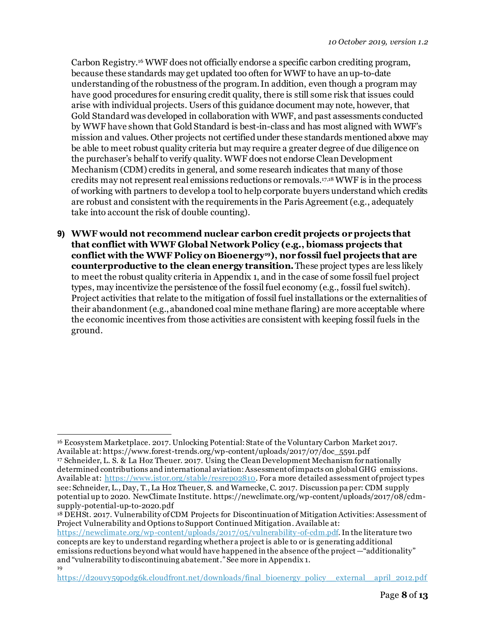Carbon Registry. <sup>16</sup> WWF does not officially endorse a specific carbon crediting program, because these standards may get updated too often for WWF to have an up-to-date understanding of the robustness of the program. In addition, even though a program may have good procedures for ensuring credit quality, there is still some risk that issues could arise with individual projects. Users of this guidance document may note, however, that Gold Standard was developed in collaboration with WWF, and past assessments conducted by WWF have shown that Gold Standard is best-in-class and has most aligned with WWF's mission and values. Other projects not certified under these standards mentioned above may be able to meet robust quality criteria but may require a greater degree of due diligence on the purchaser's behalf to verify quality. WWF does not endorse Clean Development Mechanism (CDM) credits in general, and some research indicates that many of those credits may not represent real emissions reductions or removals. 17,18 WWF is in the process of working with partners to develop a tool to help corporate buyers understand which credits are robust and consistent with the requirements in the Paris Agreement (e.g., adequately take into account the risk of double counting).

**9) WWF would not recommend nuclear carbon credit projects orprojects that that conflict with WWF Global Network Policy (e.g., biomass projects that conflict with the WWF Policy on Bioenergy19), nor fossil fuel projects that are counterproductive to the clean energy transition.**These project types are less likely to meet the robust quality criteria in Appendix 1, and in the case of some fossil fuel project types, may incentivize the persistence of the fossil fuel economy (e.g., fossil fuel switch). Project activities that relate to the mitigation of fossil fuel installations or the externalities of their abandonment (e.g., abandoned coal mine methane flaring) are more acceptable where the economic incentives from those activities are consistent with keeping fossil fuels in the ground.

<sup>18</sup> DEHSt. 2017. Vulnerability of CDM Projects for Discontinuation of Mitigation Activities: Assessment of Project Vulnerability and Options to Support Continued Mitigation. Available at:

<https://newclimate.org/wp-content/uploads/2017/05/vulnerability-of-cdm.pdf>. In the literature two concepts are key to understand regarding whether a project is able to or is generating additional emissions reductions beyond what would have happened in the absence of the project —"additionality" and "vulnerability to discontinuing abatement." See more in Appendix 1. 19

<sup>16</sup> Ecosystem Marketplace. 2017. Unlocking Potential: State of the Voluntary Carbon Market 2017. Available at: https://www.forest-trends.org/wp-content/uploads/2017/07/doc\_5591.pdf <sup>17</sup> Schneider, L. S. & La Hoz Theuer. 2017. Using the Clean Development Mechanism for nationally determined contributions and international aviation: Assessment of impacts on global GHG emissions. Available at: https://www.jstor.org/stable/resrepo2810. For a more detailed assessment of project types see: Schneider, L., Day, T., La Hoz Theuer, S. and Warnecke, C. 2017. Discussion paper: CDM supply

potential up to 2020. NewClimate Institute. https://newclimate.org/wp-content/uploads/2017/08/cdmsupply-potential-up-to-2020.pdf

[https://d2ouvy59p0dg6k.cloudfront.net/downloads/final\\_bioenergy\\_policy\\_\\_external\\_\\_april\\_2012.pdf](https://d2ouvy59p0dg6k.cloudfront.net/downloads/final_bioenergy_policy__external__april_2012.pdf)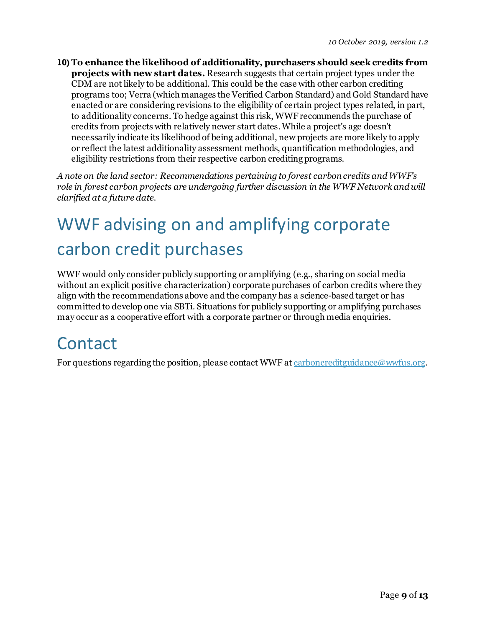**10) To enhance the likelihood of additionality, purchasers should seek credits from projects with new start dates.** Research suggests that certain project types under the CDM are not likely to be additional. This could be the case with other carbon crediting programs too; Verra (which manages the Verified Carbon Standard) and Gold Standard have enacted or are considering revisions to the eligibility of certain project types related, in part, to additionality concerns. To hedge against this risk, WWFrecommends the purchase of credits from projects with relatively newer start dates. While a project's age doesn't necessarily indicate its likelihood of being additional, new projects are more likely to apply or reflect the latest additionality assessment methods, quantification methodologies, and eligibility restrictions from their respective carbon crediting programs.

*A note on the land sector: Recommendations pertaining to forest carbon credits and WWF's role in forest carbon projects are undergoing further discussion in the WWF Network and will clarified at a future date.* 

# WWF advising on and amplifying corporate carbon credit purchases

WWF would only consider publicly supporting or amplifying (e.g., sharing on social media without an explicit positive characterization) corporate purchases of carbon credits where they align with the recommendations above and the company has a science-based target or has committed to develop one via SBTi. Situations for publicly supporting or amplifying purchases may occur as a cooperative effort with a corporate partner or through media enquiries.

### **Contact**

For questions regarding the position, please contact WWF a[t carboncreditguidance@wwfus.org](mailto:carboncreditguidance@wwfus.org).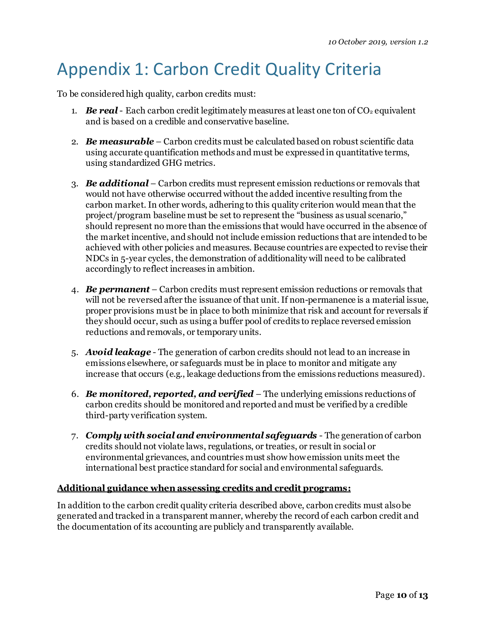# Appendix 1: Carbon Credit Quality Criteria

To be considered high quality, carbon credits must:

- 1. **Be real**-Each carbon credit legitimately measures at least one ton of  $CO<sub>2</sub>$  equivalent and is based on a credible and conservative baseline.
- 2. *Be measurable* Carbon credits must be calculated based on robust scientific data using accurate quantification methods and must be expressed in quantitative terms, using standardized GHG metrics.
- 3. *Be additional* Carbon credits must represent emission reductions or removals that would not have otherwise occurred without the added incentive resulting from the carbon market. In other words, adhering to this quality criterion would meanthat the project/program baseline must be set to represent the "business as usual scenario," should represent no more than the emissions that would have occurred in the absence of the market incentive, and should not include emission reductions that are intended to be achieved with other policies and measures. Because countries are expected to revise their NDCs in 5-year cycles, the demonstration of additionality will need to be calibrated accordingly to reflect increases in ambition.
- 4. *Be permanent* Carbon credits must represent emission reductions or removals that will not be reversed after the issuance of that unit. If non-permanence is a material issue, proper provisions must be in place to both minimize that risk and account for reversals if they should occur, such as using a buffer pool of credits to replace reversed emission reductions and removals, or temporary units.
- 5. *Avoid leakage* The generation of carbon credits should not lead to an increase in emissions elsewhere, or safeguards must be in place to monitor and mitigate any increase that occurs (e.g., leakage deductions from the emissions reductions measured).
- 6. *Be monitored, reported, and verified*  The underlying emissions reductions of carbon credits should be monitored and reported and must be verified by a credible third-party verification system.
- 7. *Comply with social and environmental safeguards* The generation of carbon credits should not violate laws, regulations, or treaties, or result in social or environmental grievances, and countries must show how emission units meet the international best practice standard for social and environmental safeguards.

#### **Additional guidance when assessing credits and credit programs:**

In addition to the carbon credit quality criteria described above, carbon credits must also be generated and tracked in a transparent manner, whereby the record of each carbon credit and the documentation of its accounting are publicly and transparently available.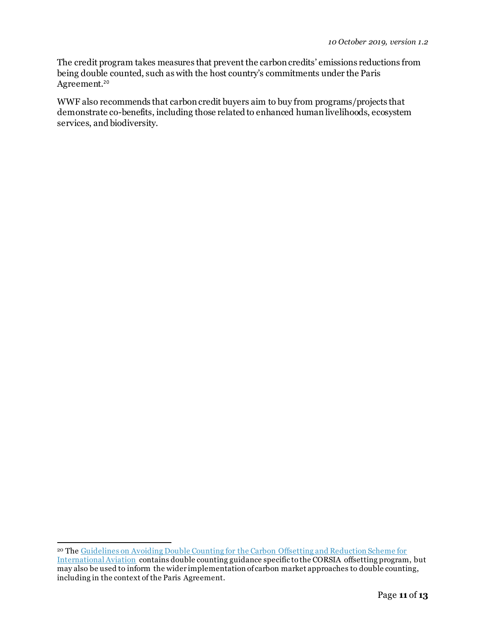The credit program takes measures that prevent the carbon credits' emissions reductions from being double counted, such as with the host country's commitments under the Paris Agreement.<sup>20</sup>

WWF also recommends that carbon credit buyers aim to buy from programs/projects that demonstrate co-benefits, including those related to enhanced human livelihoods, ecosystem services, and biodiversity.

<sup>20</sup> Th[e Guidelines on Avoiding Double Counting for the Carbon Offsetting and Reduction Scheme for](https://docs.wixstatic.com/ugd/ab534e_d65b234cea994eaf8194c13bf11a9bdf.pdf)  [International Aviation](https://docs.wixstatic.com/ugd/ab534e_d65b234cea994eaf8194c13bf11a9bdf.pdf) contains double counting guidance specific to the CORSIA offsetting program, but may also be used to inform the wider implementation of carbon market approaches to double counting, including in the context of the Paris Agreement.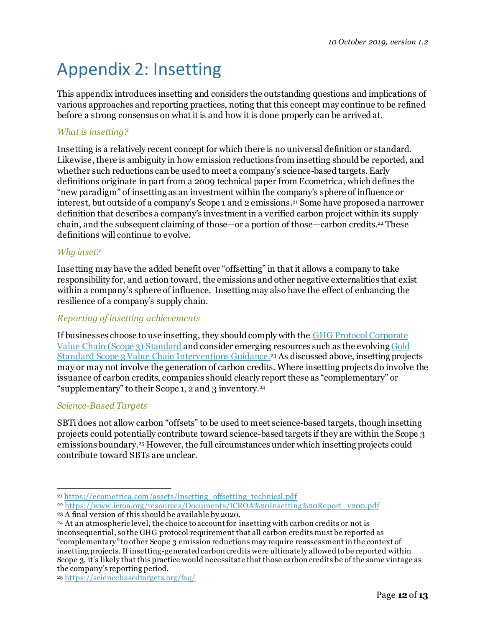# Appendix 2: Insetting

This appendix introduces insetting and considers the outstanding questions and implications of various approaches and reporting practices, noting that this concept may continue to be refined before a strong consensus on what it is and how it is done properly can be arrived at.

#### *What is insetting?*

Insetting is a relatively recent concept for which there is no universal definition or standard. Likewise, there is ambiguity in how emission reductions from insetting should be reported, and whether such reductions can be used to meet a company's science-based targets. Early definitions originate in part from a 2009 technical paper from Ecometrica, which defines the "new paradigm" of insetting as an investment within the company's sphere of influence or interest, but outside of a company's Scope 1 and 2 emissions. <sup>21</sup> Some have proposed a narrower definition that describes a company's investment in a verified carbon project within its supply chain, and the subsequent claiming of those—or a portion of those—carbon credits. <sup>22</sup> These definitions will continue to evolve.

#### *Why inset?*

Insetting may have the added benefit over "offsetting" in that it allows a company to take responsibility for, and action toward, the emissions and other negative externalities that exist within a company's sphere of influence. Insetting may also have the effect of enhancing the resilience of a company's supply chain.

#### *Reporting of insetting achievements*

If businesses choose to use insetting, they should comply with th[e GHG Protocol Corporate](https://na01.safelinks.protection.outlook.com/?url=https%3A%2F%2Fwmphighrise.appspot.com%2Fr%2Fbece7b7a538d845fa6ecbe01da0ecb48%3Fd%3Dhttps%253A%252F%252Fghgprotocol.org%252Fsites%252Fdefault%252Ffiles%252Fstandards%252FCorporate-Value-Chain-Accounting-Reporing-Standard_041613_2.pdf&data=02%7C01%7Ctim.letts%40wwfus.org%7C4d569e3c3bb64353807e08d5f8e7f62e%7Cdb6aaa89c7f8485186769cc7f73b3411%7C0%7C0%7C636688597516091217&sdata=3SQCRjXlKPR3PyBXM7lsZ17NPfMM5XX0fDQ58Mkug4Q%3D&reserved=0)  [Value Chain \(Scope 3\) Standard](https://na01.safelinks.protection.outlook.com/?url=https%3A%2F%2Fwmphighrise.appspot.com%2Fr%2Fbece7b7a538d845fa6ecbe01da0ecb48%3Fd%3Dhttps%253A%252F%252Fghgprotocol.org%252Fsites%252Fdefault%252Ffiles%252Fstandards%252FCorporate-Value-Chain-Accounting-Reporing-Standard_041613_2.pdf&data=02%7C01%7Ctim.letts%40wwfus.org%7C4d569e3c3bb64353807e08d5f8e7f62e%7Cdb6aaa89c7f8485186769cc7f73b3411%7C0%7C0%7C636688597516091217&sdata=3SQCRjXlKPR3PyBXM7lsZ17NPfMM5XX0fDQ58Mkug4Q%3D&reserved=0) and consider emerging resources such as the evolving [Gold](https://na01.safelinks.protection.outlook.com/?url=https%3A%2F%2Fwmphighrise.appspot.com%2Fr%2Fbece7b7a538d845fa6ecbe01da0ecb48%3Fd%3Dhttps%253A%252F%252Fwww.goldstandard.org%252Four-work%252Finnovations-consultations%252Fscope-3-value-chain-interventions-guidance&data=02%7C01%7Ctim.letts%40wwfus.org%7C4d569e3c3bb64353807e08d5f8e7f62e%7Cdb6aaa89c7f8485186769cc7f73b3411%7C0%7C0%7C636688597516091217&sdata=pwLxOSc8eAKvaoLpxsCQII8pq4cTBgVBUVwA8k3le8k%3D&reserved=0)  [Standard Scope 3 Value Chain Interventions Guidance](https://na01.safelinks.protection.outlook.com/?url=https%3A%2F%2Fwmphighrise.appspot.com%2Fr%2Fbece7b7a538d845fa6ecbe01da0ecb48%3Fd%3Dhttps%253A%252F%252Fwww.goldstandard.org%252Four-work%252Finnovations-consultations%252Fscope-3-value-chain-interventions-guidance&data=02%7C01%7Ctim.letts%40wwfus.org%7C4d569e3c3bb64353807e08d5f8e7f62e%7Cdb6aaa89c7f8485186769cc7f73b3411%7C0%7C0%7C636688597516091217&sdata=pwLxOSc8eAKvaoLpxsCQII8pq4cTBgVBUVwA8k3le8k%3D&reserved=0).<sup>23</sup> As discussed above, insetting projects may or may not involve the generation of carbon credits. Where insetting projects do involve the issuance of carbon credits, companies should clearly report these as "complementary" or "supplementary" to their Scope 1, 2 and 3 inventory. 24

#### *Science-Based Targets*

SBTi does not allow carbon "offsets" to be used to meet science-based targets, though insetting projects could potentially contribute toward science-based targets if they are within the Scope 3 emissions boundary. <sup>25</sup> However, the full circumstances under which insetting projects could contribute toward SBTs are unclear.

<sup>21</sup> [https://ecometrica.com/assets/insetting\\_offsetting\\_technical.pdf](https://ecometrica.com/assets/insetting_offsetting_technical.pdf)

<sup>22</sup> [https://www.icroa.org/resources/Documents/ICROA%20Insetting%20Report\\_v200.pdf](https://www.icroa.org/resources/Documents/ICROA%20Insetting%20Report_v200.pdf) <sup>23</sup> A final version of this should be available by 2020.

<sup>24</sup> At an atmospheric level, the choice to account for insetting with carbon credits or not is inconsequential, so the GHG protocol requirement that all carbon credits must be reported as "complementary" to other Scope 3 emission reductions may require reassessment in the context of insetting projects. If insetting-generated carbon credits were ultimately allowed to be reported within Scope 3, it's likely that this practice would necessitate that those carbon credits be of the same vintage as the company's reporting period.

<sup>25</sup> <https://sciencebasedtargets.org/faq/>